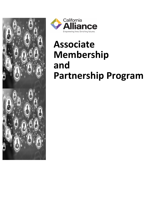



# **Associate Membership and Partnership Program**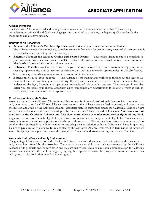

#### **Alliance Members:**

The California Alliance of Child and Family Services is a statewide association of more than 150 nationally accredited nonprofit child and family serving agencies committed to providing the highest quality services in the most caring and effective fashion.

#### **Benefits of an Associate:**

- **Access to the Alliance's Membership Roster** Consider it your connection to future business. The Alliance Member Roster includes complete contact information for senior management of all members and is an invaluable sales, marketing, and networking tool.
- **Referrals Through the Alliance Online and Printed Roster** Your online listing includes a hyperlink to your corporate Web site and your complete contact information is also shared in our master Associate Membership Roster which is sent to all our members.
- **Enhanced Visibility** Use the Alliance as your industry networking forum. Associates enjoy access to speaking opportunities and conference participation, as well as authorship opportunities in *Someday Morning*. Share your expertise while gaining valuable exposure within the industry.
- **Education Vital to Your Success** The Alliance offers training and workshops throughout the year on all aspects of the child and family service industry. If you provide a service to this marketplace, it is vital that you understand the legal, financial, and operational intricacies of this complex business. The more you know, the better you can serve your clients. Associates enjoy complimentary subscriptions to *Someday Morning* as well as access to in-person and virtual event sponsorships.

#### **Conditions of Associate Status:**

Associate status in the California Alliance is available to organizations and professionals that provide products and/or services to or for California Alliance members or to the childcare service field in general, and who support the mission and goals of the California Alliance. Associate status is authorized under the California Alliance Bylaws and granted under rules and regulations adopted by the California Alliance Board of Directors. **Associates are not members of the California Alliance and Associate status does not confer membership rights of any kind.**  Organizations or professionals eligible for provisional or general membership are not eligible for Associate status; Associates are organizations or professionals who provide service to Alliance members. Associates are expected to conduct their business in an ethical manner to not bring their association with the California Alliance in question. Failure to pay dues or to abide by Rules adopted by the California Alliance shall result in termination of Associate status. By signing this application below, the prospective Associate understands and agrees to these Conditions.

#### **Associate Status Does Not Imply Endorsement:**

The granting of Associate status by the California Alliance is *not* an endorsement, real or implied, of the products and/or services offered by the Associate. The Associate may *not* claim any such endorsement by the California Alliance of its products and/or services in any oral, written, visual, audio or electronic communication to California Alliance members or to the public at large. By signing this application below, the prospective Associate understands and agrees to this prohibition of endorsement rights.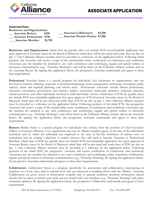

#### **Associate Dues: Businesses and Organizations: \_\_\_ Associate Retiree: \$250 \_\_\_ Associate Collaborator: \$2,500 \_\_\_ Associate Premier Partner \$7,500\_\_\_ Associate Professional \$750 \_\_\_ Associate Member: \$1,750**

**Businesses and Organizations:** Initial dues are payable (does not include \$150 non-refundable application fee) upon approval of Associate status by the Board of Directors; initial dues will be pro-rated and yearly dues are due on Jan. 1. One California Alliance member must be provided as a reference on the application below. Following initial payment, the Associate will receive a copy of the membership roster, notification of conferences and workshops (Associates pay the member fee attached to any such conferences and workshops), regular and special written or electronic communication (e.g., "Someday Morning"), and will be listed on the California Alliance website and on the Associate Roster. By signing this application below, the prospective Associate understands and agrees to these dues requirements.

**Professional** Associate Status is a special program for individuals (not businesses or organizations) who are involved in research, lobbying, corporate or institutional planning, issues management, technology assessment, policy analysis, urban and regional planning, and related areas. Professional Associates include clinical professional, educators, consultants, government and business leaders, researchers, think-tank members, corporate planners, retired executives, and other individuals involved in child and family services. Initial dues of \$750 are payable (does not include \$150 non-refundable application fee) upon approval of Professional Associate status by the Board of Directors; initial dues will be pro-rated and yearly dues of \$750 are due on Jan. 1. One California Alliance member must be provided as a reference on the application below. Following payment of the initial \$750, the prospective Associate will receive a copy of the membership roster, notification of conferences and workshops (Associates pay the member fee attached to any such conferences and workshops), regular and special written or electronic communication (e.g., "Someday Morning"), and will be listed on the California Alliance website and on the Associate Roster. By signing this application below, the prospective Associate understands and agrees to these dues requirements.

**Retirees**: Retiree Status is a special program for individuals who retired, from the position of Chief Executive Officer or Executive Director, of an organization that was an Alliance member agency at the time of the individual's retirement and by which the individual was employed at the time of his/her retirement. If retirees serve as consultants and are seeking a platform to market services, they will need to become Associate or Professional Members. Initial dues of \$250 are payable (does not include \$150 non-refundable application fee) upon approval of Associate Retiree status by the Board of Directors; initial dues will be pro-rated and yearly dues of \$250 are due on Jan. 1. One California Alliance member must be provided as a reference on the application below. Following payment of the initial \$250, the prospective Associate will receive notification of conferences and workshops (Associates pay the member fee attached to any such conferences and workshops), policy committee notifications, regular and special written or electronic communication (e.g., "Someday Morning). By signing this application below, the prospective Associate understands and agrees to these dues' requirements.

**Collaborators:** Collaborator Status is a program specifically for associations and collaboratives representing its members on a local, state, and/or national level who are interested in braiding efforts with the Alliance. Associate Collaborators are given access to information available only to general members, therefore information shared should only be taken to inform your work and not shared with your members (e.g., "Someday Morning" and policy committee updates). By signing this application below, the prospective Collaborator understands and agrees to these requirements.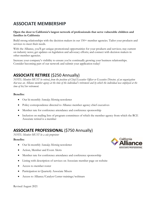## **ASSOCIATE MEMBERSHIP**

#### **Open the door to California's largest network of professionals that serve vulnerable children and families in California**

Build strong relationships with the decision makers in our 150+ member agencies. Tailor your products and services to meet their needs.

With the Alliance, you'll get unique promotional opportunities for your products and services; stay current on industry news; get updates on legislation and advocacy efforts; and connect with decision makers in other member agencies.

Increase your company's visibility to ensure you're continually growing your business relationships. Consider becoming part of our network and [submit your application](https://form.jotform.com/91365541998168) today!

## **ASSOCIATE RETIREE** (\$250 Annually)

*NOTE: Member MUST be retired, from the position of Chief Executive Officer or Executive Director, of an organization that was an Alliance member agency at the time of the individual's retirement and by which the individual was employed at the time of his/her retirement.*

#### **Benefits:**

- Our bi-monthly *Someday Morning* newsletter
- Policy correspondence directed to Alliance member agency chief executives
- Member rate for conference attendance and conference sponsorship
- Inclusion on mailing lists of program committees of which the member agency from which the RCE Associate retired is a member

## **ASSOCIATE PROFESSIONAL** (\$750 Annually)

*NOTE: Member MUST be a sole proprietor* 

#### **Benefits:**

- Our bi-monthly *Someday Morning* newsletter
- Action, Member and Event Alerts
- Member rate for conference attendance and conference sponsorship
- Listing with description of services on Associate member page on website
- Access to member roster
- Participation in Quarterly Associate Mixers
- Access to Alliance/Catalyst Center trainings/webinars

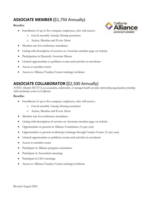## **ASSOCIATE MEMBER (**\$1,750 Annually)

#### **Benefits:**

- Enrollment of up to five company employees, who will receive:
	- o Our bi-monthly *Someday Morning* newsletter
	- o Action, Member and Event Alerts
- Member rate for conference attendance
- Listing with description of services on Associate member page on website
- Participation in Quarterly Associate Mixers
- Limited opportunities to publicize events and activities in newsletter
- Access to member roster
- Access to Alliance/Catalyst Center trainings/webinars

## **ASSOCIATE COLLABORATOR (**\$2,500 Annually)

*NOTE: Member MUST be an association, collaborative, or managed health care plan representing organizations providing child and family services in California*

#### **Benefits:**

- Enrollment of up to five company employees, who will receive:
	- o Our bi-monthly *Someday Morning* newsletter
	- o Action, Member and Event Alerts
- Member rate for conference attendance
- Listing with description of services on Associate member page on website
- Opportunities to present in Alliance Committees (1x per year)
- Opportunities to present workshops/trainings through Catalyst Center (1x per year)
- Limited opportunities to publicize events and activities in newsletter
- Access to member roster
- Participate in Alliance program committees
- Participate in Association meetings
- Participate in CEO meetings
- Access to Alliance/Catalyst Center trainings/webinars

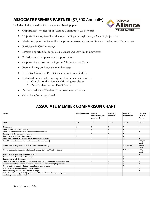## **ASSOCIATE PREMIER PARTNER (**\$7,500 Annually)

Includes all the benefits of Associate membership, plus:

- Opportunities to present in Alliance Committees (2x per year)
- Opportunities to present workshops/trainings through Catalyst Center (2x per year)
- Marketing opportunities Alliance promote Associate events via social media posts (2x per year)
- Participate in CEO meetings
- Limited opportunities to publicize events and activities in newsletter
- 25% discount on Sponsorship Opportunities
- Opportunity to post job listings on Alliance Career Center
- Premier listing on Associate member page
- Exclusive Use of the Premier Plus Partner brand indicia
- Unlimited number of company employees, who will receive:
	- o Our bi-monthly Someday Morning newsletter
	- o Action, Member and Event Alerts
- Access to Alliance/Catalyst Center trainings/webinars
- Other benefits as negotiated

### **ASSOCIATE MEMBER COMPARISON CHART**

| Benefit                                                                                                           | <b>Associate Retiree</b> | Associate<br>Professional (sole<br>proprietor) | Associate<br>Member | Associate<br>Collaborator | Associate<br>Premier<br>Partner |
|-------------------------------------------------------------------------------------------------------------------|--------------------------|------------------------------------------------|---------------------|---------------------------|---------------------------------|
| Cost                                                                                                              | \$250                    | \$750                                          | \$1,750             | \$2,500                   | \$7,500                         |
| Newsletter                                                                                                        | X                        | X                                              | х                   | x                         | x                               |
| Action, Member, Event Alerts                                                                                      | $\mathsf{X}$             | X                                              | X                   | X                         | X                               |
| Member rate for conference attendance/sponsorship                                                                 | X                        | X                                              | X                   | X                         | X                               |
| Listing with description of services                                                                              |                          | X                                              | X                   | X                         | X                               |
| Participate in Alliance Committees                                                                                | Χ                        |                                                |                     | X                         | X                               |
| Access to Alliance/Catalyst Center trainings/webinars                                                             |                          | X                                              | X                   | X                         | X                               |
| CACFS promote associate events via social media posts                                                             |                          |                                                |                     |                           | X(2 per<br>year)                |
| Opportunities to present at CACFS committee meeting                                                               |                          |                                                |                     | X (1 per year)            | X(2 <sub>per</sub> )<br>year)   |
| Opportunities to present workshops/trainings through Catalyst Center                                              |                          |                                                |                     | X (1 per year)            | X(2 <sub>per</sub> )<br>year)   |
| Participate in quarterly associate mixers                                                                         |                          | X                                              | X                   |                           | X                               |
| Participate in Association Meetings                                                                               |                          |                                                |                     | X                         |                                 |
| Participate in CEO Meetings                                                                                       |                          |                                                |                     | X                         | X                               |
| Membership Roster including all general members/associates contact information                                    |                          | X                                              | X                   | X                         | X                               |
| Opportunities to publicize events and activities in newsletter (4x per year)                                      |                          |                                                | X                   | X                         | x                               |
| Opportunity to post job listings on Alliance Career Center                                                        |                          |                                                |                     | X                         | X                               |
| 25% discount on sponsorship opportunities                                                                         |                          |                                                |                     |                           | X                               |
| Premier listing on Associate Member Page                                                                          |                          |                                                |                     |                           | X                               |
| Other benefits as negotiated (e.g., time to address Alliance Board, small group<br>marketing opportunities, etc.) |                          |                                                |                     |                           | Χ                               |

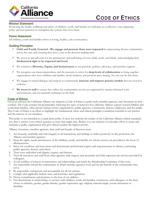

## **CODE OF ETHICS**

#### **Mission Statement:**

Promoting the health, wellbeing and safety of children, youth, and families in California as a collective voice impacting policy and best practices to strengthen the systems that serve them.

#### **Vision Statement:**

All children, youth and families thrive in loving, healthy, safe communities.

#### **Guiding Principles:**

- $\checkmark$  Child and Family Centered We engage and promote those most impacted by representing diverse communities across the state and ensuring they have a seat at the decision-making table.
- $\checkmark$  We invest in and advocate for the permanency and well-being of every child, youth, and family, acknowledging their fundamental right to be respected and loved.
- $\checkmark$  We commit to Diversity, Equity, and Inclusiveness in our practices, policies, advocacy, and member support.
- $\checkmark$  We recognize our interconnectedness and the necessity to strive for deep levels of collaboration to bring together organizations who serve children and families, break isolation, and promote peer sharing. No one can do this alone.
- $\checkmark$  We engage in critical dialogue and analysis to continuously **innovate and improve practice models** that are rooted in evidence.
- $\checkmark$  We invest in staff to ensure they reflect the communities served, are supported by trauma-informed work environments, and can maintain endurance in the field.

#### **Code of Ethics**

Given its mission, the California Alliance has adopted a Code of Ethics to guide itself, member agencies, and Associates in their conduct. The Code contains broad principles reflecting the types of behavior the California Alliance expects toward children and youth, their families, other private human service organizations, public agencies, constituents, donors, employees, and the public. This Code of Ethics is an effort to highlight the fundamental values and ethical principles considered essential to our mission and the mission of our members.

This policy is not intended as a stand-alone policy. It does not embody the totality of the California Alliance ethical standards, nor does it answer every ethical question or issue that might arise. Rather, it is one element of a broader effort to create and maintain a quality organization that give ethical conduct the highest priority.

Alliance Associates, member agencies, their staff and boards of directors must:

- 1. Act honestly, truthfully and with integrity in all transactions and dealings to reflect positively on the profession, the Alliance and member agencies.
- 2. Keep the rights, needs and interests of the children, youth, and families for whom services are provided as the focus of alltransactions.
- 3. Strive for excellence and innovation and demonstrate professional respect and responsiveness to clients, contracting public agencies, donors, and others.
- 4. Treat every individual with dignity, respect, and fairness.
- 5. Treat all executives and staff from other agencies with respect, and accurately and fairly represent the services provided by colleagues.
- 6. Avoid conflicts of interest in transactions and relationships and notify the Membership Committee if they exist.
- 7. Act responsibly toward the communities in which member agencies work and for the benefit of the communities they serve.
- 8. Be responsible, transparent, and accountable for all our actions.
- 9. Comply with applicable federal, state, and local laws and regulations.
- 10. Honor commitments and promises to the best of our abilities.
- 11. Not discriminate in relationships or services with children, youth and families, contractors, and colleagues on the basis of race or ethnicity, gender, gender identity, gender expression, age, religion, national origin, sexual orientation or disability.